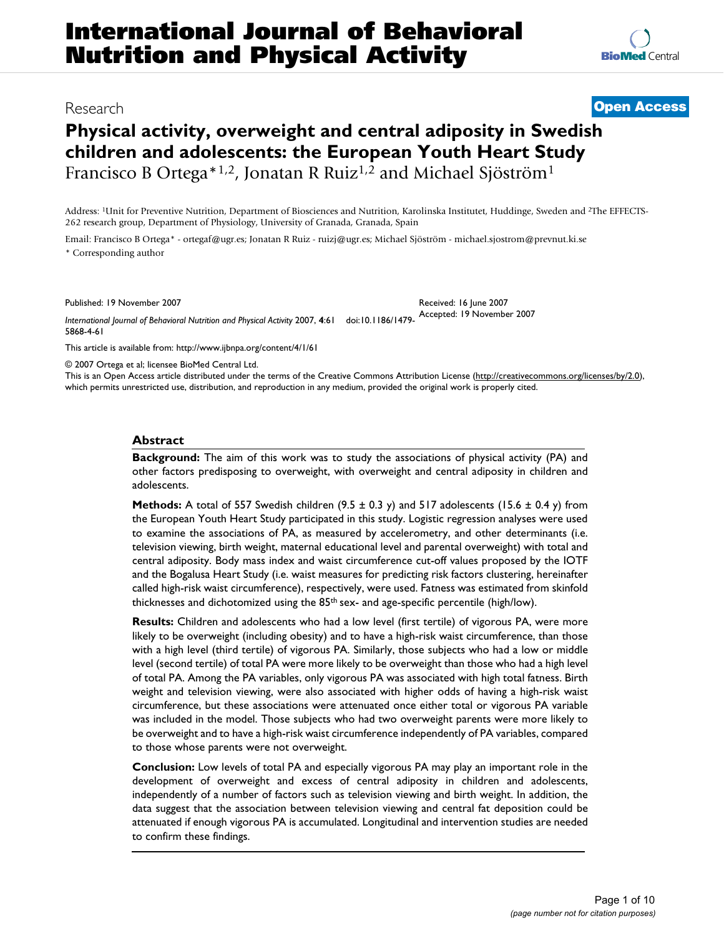# Research **[Open Access](http://www.biomedcentral.com/info/about/charter/)**

# **Physical activity, overweight and central adiposity in Swedish children and adolescents: the European Youth Heart Study** Francisco B Ortega<sup>\*1,2</sup>, Jonatan R Ruiz<sup>1,2</sup> and Michael Sjöström<sup>1</sup>

Address: 1Unit for Preventive Nutrition, Department of Biosciences and Nutrition, Karolinska Institutet, Huddinge, Sweden and 2The EFFECTS-262 research group, Department of Physiology, University of Granada, Granada, Spain

Email: Francisco B Ortega\* - ortegaf@ugr.es; Jonatan R Ruiz - ruizj@ugr.es; Michael Sjöström - michael.sjostrom@prevnut.ki.se \* Corresponding author

Published: 19 November 2007

*International Journal of Behavioral Nutrition and Physical Activity* 2007, **4**:61 doi:10.1186/1479- Accepted: 19 November 2007 5868-4-61

[This article is available from: http://www.ijbnpa.org/content/4/1/61](http://www.ijbnpa.org/content/4/1/61)

© 2007 Ortega et al; licensee BioMed Central Ltd.

This is an Open Access article distributed under the terms of the Creative Commons Attribution License [\(http://creativecommons.org/licenses/by/2.0\)](http://creativecommons.org/licenses/by/2.0), which permits unrestricted use, distribution, and reproduction in any medium, provided the original work is properly cited.

Received: 16 June 2007

### **Abstract**

**Background:** The aim of this work was to study the associations of physical activity (PA) and other factors predisposing to overweight, with overweight and central adiposity in children and adolescents.

**Methods:** A total of 557 Swedish children (9.5 ± 0.3 y) and 517 adolescents (15.6 ± 0.4 y) from the European Youth Heart Study participated in this study. Logistic regression analyses were used to examine the associations of PA, as measured by accelerometry, and other determinants (i.e. television viewing, birth weight, maternal educational level and parental overweight) with total and central adiposity. Body mass index and waist circumference cut-off values proposed by the IOTF and the Bogalusa Heart Study (i.e. waist measures for predicting risk factors clustering, hereinafter called high-risk waist circumference), respectively, were used. Fatness was estimated from skinfold thicknesses and dichotomized using the 85<sup>th</sup> sex- and age-specific percentile (high/low).

**Results:** Children and adolescents who had a low level (first tertile) of vigorous PA, were more likely to be overweight (including obesity) and to have a high-risk waist circumference, than those with a high level (third tertile) of vigorous PA. Similarly, those subjects who had a low or middle level (second tertile) of total PA were more likely to be overweight than those who had a high level of total PA. Among the PA variables, only vigorous PA was associated with high total fatness. Birth weight and television viewing, were also associated with higher odds of having a high-risk waist circumference, but these associations were attenuated once either total or vigorous PA variable was included in the model. Those subjects who had two overweight parents were more likely to be overweight and to have a high-risk waist circumference independently of PA variables, compared to those whose parents were not overweight.

**Conclusion:** Low levels of total PA and especially vigorous PA may play an important role in the development of overweight and excess of central adiposity in children and adolescents, independently of a number of factors such as television viewing and birth weight. In addition, the data suggest that the association between television viewing and central fat deposition could be attenuated if enough vigorous PA is accumulated. Longitudinal and intervention studies are needed to confirm these findings.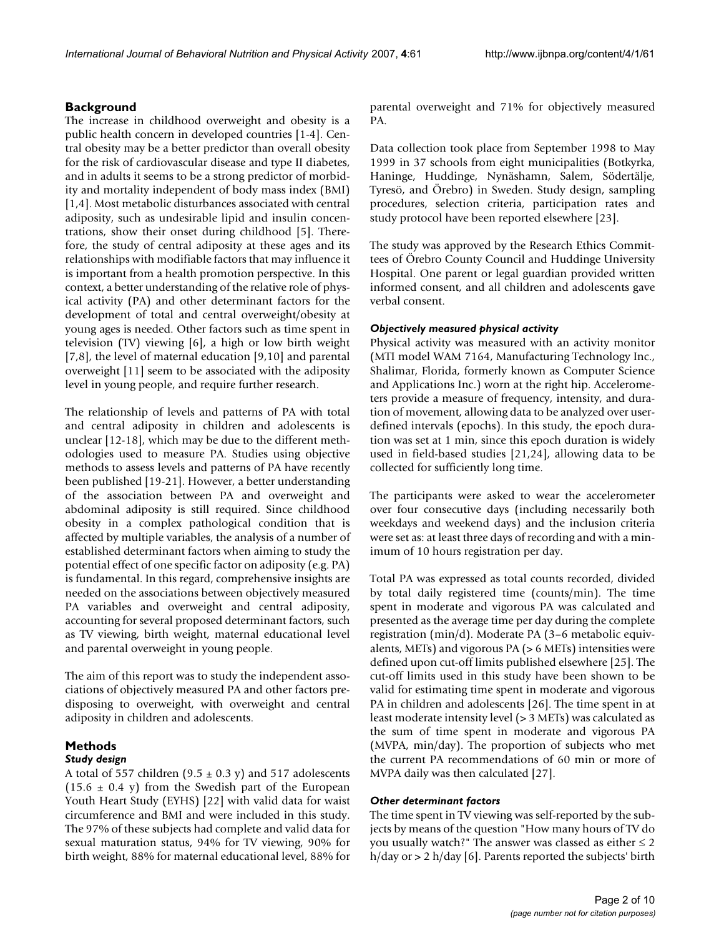# **Background**

The increase in childhood overweight and obesity is a public health concern in developed countries [1-4]. Central obesity may be a better predictor than overall obesity for the risk of cardiovascular disease and type II diabetes, and in adults it seems to be a strong predictor of morbidity and mortality independent of body mass index (BMI) [1,4]. Most metabolic disturbances associated with central adiposity, such as undesirable lipid and insulin concentrations, show their onset during childhood [5]. Therefore, the study of central adiposity at these ages and its relationships with modifiable factors that may influence it is important from a health promotion perspective. In this context, a better understanding of the relative role of physical activity (PA) and other determinant factors for the development of total and central overweight/obesity at young ages is needed. Other factors such as time spent in television (TV) viewing [6], a high or low birth weight [7,8], the level of maternal education [9,10] and parental overweight [11] seem to be associated with the adiposity level in young people, and require further research.

The relationship of levels and patterns of PA with total and central adiposity in children and adolescents is unclear [12-18], which may be due to the different methodologies used to measure PA. Studies using objective methods to assess levels and patterns of PA have recently been published [19-21]. However, a better understanding of the association between PA and overweight and abdominal adiposity is still required. Since childhood obesity in a complex pathological condition that is affected by multiple variables, the analysis of a number of established determinant factors when aiming to study the potential effect of one specific factor on adiposity (e.g. PA) is fundamental. In this regard, comprehensive insights are needed on the associations between objectively measured PA variables and overweight and central adiposity, accounting for several proposed determinant factors, such as TV viewing, birth weight, maternal educational level and parental overweight in young people.

The aim of this report was to study the independent associations of objectively measured PA and other factors predisposing to overweight, with overweight and central adiposity in children and adolescents.

# **Methods**

# *Study design*

A total of 557 children  $(9.5 \pm 0.3 \text{ y})$  and 517 adolescents  $(15.6 \pm 0.4 \text{ y})$  from the Swedish part of the European Youth Heart Study (EYHS) [22] with valid data for waist circumference and BMI and were included in this study. The 97% of these subjects had complete and valid data for sexual maturation status, 94% for TV viewing, 90% for birth weight, 88% for maternal educational level, 88% for parental overweight and 71% for objectively measured PA.

Data collection took place from September 1998 to May 1999 in 37 schools from eight municipalities (Botkyrka, Haninge, Huddinge, Nynäshamn, Salem, Södertälje, Tyresö, and Örebro) in Sweden. Study design, sampling procedures, selection criteria, participation rates and study protocol have been reported elsewhere [23].

The study was approved by the Research Ethics Committees of Örebro County Council and Huddinge University Hospital. One parent or legal guardian provided written informed consent, and all children and adolescents gave verbal consent.

# *Objectively measured physical activity*

Physical activity was measured with an activity monitor (MTI model WAM 7164, Manufacturing Technology Inc., Shalimar, Florida, formerly known as Computer Science and Applications Inc.) worn at the right hip. Accelerometers provide a measure of frequency, intensity, and duration of movement, allowing data to be analyzed over userdefined intervals (epochs). In this study, the epoch duration was set at 1 min, since this epoch duration is widely used in field-based studies [21,24], allowing data to be collected for sufficiently long time.

The participants were asked to wear the accelerometer over four consecutive days (including necessarily both weekdays and weekend days) and the inclusion criteria were set as: at least three days of recording and with a minimum of 10 hours registration per day.

Total PA was expressed as total counts recorded, divided by total daily registered time (counts/min). The time spent in moderate and vigorous PA was calculated and presented as the average time per day during the complete registration (min/d). Moderate PA (3–6 metabolic equivalents, METs) and vigorous PA (> 6 METs) intensities were defined upon cut-off limits published elsewhere [25]. The cut-off limits used in this study have been shown to be valid for estimating time spent in moderate and vigorous PA in children and adolescents [26]. The time spent in at least moderate intensity level (> 3 METs) was calculated as the sum of time spent in moderate and vigorous PA (MVPA, min/day). The proportion of subjects who met the current PA recommendations of 60 min or more of MVPA daily was then calculated [27].

# *Other determinant factors*

The time spent in TV viewing was self-reported by the subjects by means of the question "How many hours of TV do you usually watch?" The answer was classed as either  $\leq 2$ h/day or > 2 h/day [6]. Parents reported the subjects' birth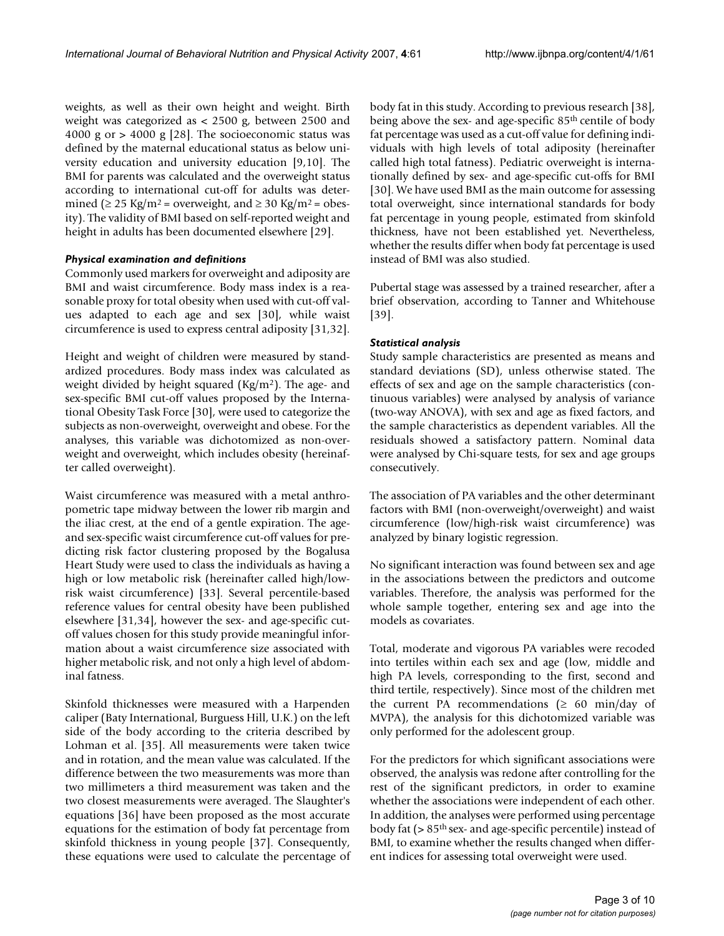weights, as well as their own height and weight. Birth weight was categorized as < 2500 g, between 2500 and 4000 g or  $> 4000$  g [28]. The socioeconomic status was defined by the maternal educational status as below university education and university education [9,10]. The BMI for parents was calculated and the overweight status according to international cut-off for adults was determined ( $\geq$  25 Kg/m<sup>2</sup> = overweight, and  $\geq$  30 Kg/m<sup>2</sup> = obesity). The validity of BMI based on self-reported weight and height in adults has been documented elsewhere [29].

# *Physical examination and definitions*

Commonly used markers for overweight and adiposity are BMI and waist circumference. Body mass index is a reasonable proxy for total obesity when used with cut-off values adapted to each age and sex [30], while waist circumference is used to express central adiposity [31,32].

Height and weight of children were measured by standardized procedures. Body mass index was calculated as weight divided by height squared (Kg/m2). The age- and sex-specific BMI cut-off values proposed by the International Obesity Task Force [30], were used to categorize the subjects as non-overweight, overweight and obese. For the analyses, this variable was dichotomized as non-overweight and overweight, which includes obesity (hereinafter called overweight).

Waist circumference was measured with a metal anthropometric tape midway between the lower rib margin and the iliac crest, at the end of a gentle expiration. The ageand sex-specific waist circumference cut-off values for predicting risk factor clustering proposed by the Bogalusa Heart Study were used to class the individuals as having a high or low metabolic risk (hereinafter called high/lowrisk waist circumference) [33]. Several percentile-based reference values for central obesity have been published elsewhere [31,34], however the sex- and age-specific cutoff values chosen for this study provide meaningful information about a waist circumference size associated with higher metabolic risk, and not only a high level of abdominal fatness.

Skinfold thicknesses were measured with a Harpenden caliper (Baty International, Burguess Hill, U.K.) on the left side of the body according to the criteria described by Lohman et al. [35]. All measurements were taken twice and in rotation, and the mean value was calculated. If the difference between the two measurements was more than two millimeters a third measurement was taken and the two closest measurements were averaged. The Slaughter's equations [36] have been proposed as the most accurate equations for the estimation of body fat percentage from skinfold thickness in young people [37]. Consequently, these equations were used to calculate the percentage of body fat in this study. According to previous research [38], being above the sex- and age-specific 85th centile of body fat percentage was used as a cut-off value for defining individuals with high levels of total adiposity (hereinafter called high total fatness). Pediatric overweight is internationally defined by sex- and age-specific cut-offs for BMI [30]. We have used BMI as the main outcome for assessing total overweight, since international standards for body fat percentage in young people, estimated from skinfold thickness, have not been established yet. Nevertheless, whether the results differ when body fat percentage is used instead of BMI was also studied.

Pubertal stage was assessed by a trained researcher, after a brief observation, according to Tanner and Whitehouse [39].

# *Statistical analysis*

Study sample characteristics are presented as means and standard deviations (SD), unless otherwise stated. The effects of sex and age on the sample characteristics (continuous variables) were analysed by analysis of variance (two-way ANOVA), with sex and age as fixed factors, and the sample characteristics as dependent variables. All the residuals showed a satisfactory pattern. Nominal data were analysed by Chi-square tests, for sex and age groups consecutively.

The association of PA variables and the other determinant factors with BMI (non-overweight/overweight) and waist circumference (low/high-risk waist circumference) was analyzed by binary logistic regression.

No significant interaction was found between sex and age in the associations between the predictors and outcome variables. Therefore, the analysis was performed for the whole sample together, entering sex and age into the models as covariates.

Total, moderate and vigorous PA variables were recoded into tertiles within each sex and age (low, middle and high PA levels, corresponding to the first, second and third tertile, respectively). Since most of the children met the current PA recommendations ( $\geq 60$  min/day of MVPA), the analysis for this dichotomized variable was only performed for the adolescent group.

For the predictors for which significant associations were observed, the analysis was redone after controlling for the rest of the significant predictors, in order to examine whether the associations were independent of each other. In addition, the analyses were performed using percentage body fat (> 85th sex- and age-specific percentile) instead of BMI, to examine whether the results changed when different indices for assessing total overweight were used.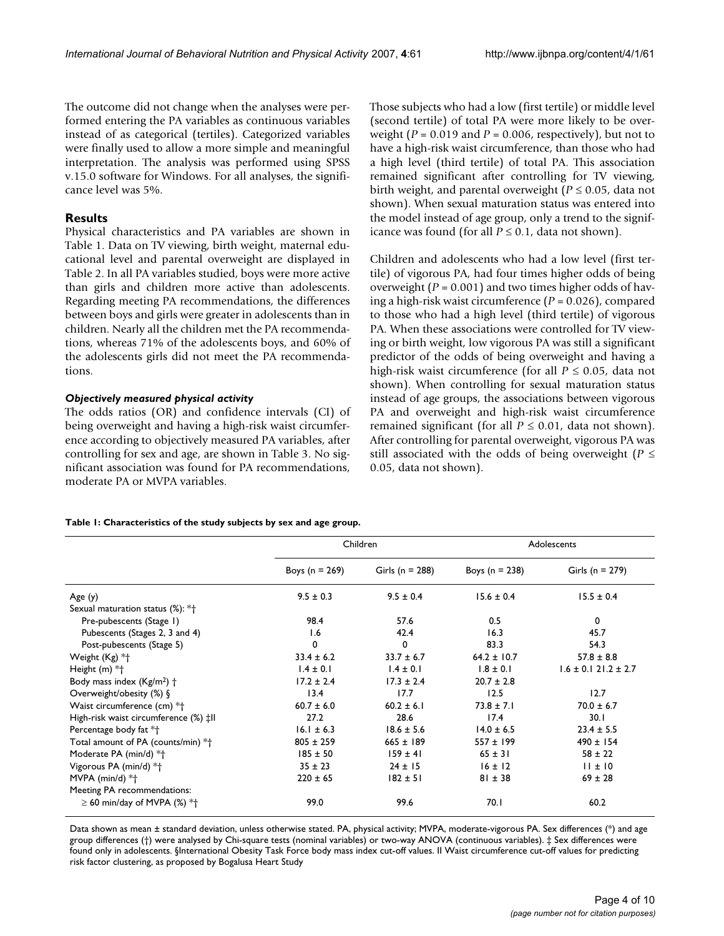The outcome did not change when the analyses were performed entering the PA variables as continuous variables instead of as categorical (tertiles). Categorized variables were finally used to allow a more simple and meaningful interpretation. The analysis was performed using SPSS v.15.0 software for Windows. For all analyses, the significance level was 5%.

# **Results**

Physical characteristics and PA variables are shown in Table 1. Data on TV viewing, birth weight, maternal educational level and parental overweight are displayed in Table 2. In all PA variables studied, boys were more active than girls and children more active than adolescents. Regarding meeting PA recommendations, the differences between boys and girls were greater in adolescents than in children. Nearly all the children met the PA recommendations, whereas 71% of the adolescents boys, and 60% of the adolescents girls did not meet the PA recommendations.

# *Objectively measured physical activity*

The odds ratios (OR) and confidence intervals (CI) of being overweight and having a high-risk waist circumference according to objectively measured PA variables, after controlling for sex and age, are shown in Table 3. No significant association was found for PA recommendations, moderate PA or MVPA variables.

Those subjects who had a low (first tertile) or middle level (second tertile) of total PA were more likely to be overweight ( $P = 0.019$  and  $P = 0.006$ , respectively), but not to have a high-risk waist circumference, than those who had a high level (third tertile) of total PA. This association remained significant after controlling for TV viewing, birth weight, and parental overweight (*P* ≤ 0.05, data not shown). When sexual maturation status was entered into the model instead of age group, only a trend to the significance was found (for all  $P \le 0.1$ , data not shown).

Children and adolescents who had a low level (first tertile) of vigorous PA, had four times higher odds of being overweight (*P* = 0.001) and two times higher odds of having a high-risk waist circumference (*P* = 0.026), compared to those who had a high level (third tertile) of vigorous PA. When these associations were controlled for TV viewing or birth weight, low vigorous PA was still a significant predictor of the odds of being overweight and having a high-risk waist circumference (for all *P* ≤ 0.05, data not shown). When controlling for sexual maturation status instead of age groups, the associations between vigorous PA and overweight and high-risk waist circumference remained significant (for all  $P \leq 0.01$ , data not shown). After controlling for parental overweight, vigorous PA was still associated with the odds of being overweight ( $P \leq$ 0.05, data not shown).

### **Table 1: Characteristics of the study subjects by sex and age group.**

|                                                 | Children           |                     | Adolescents        |                           |
|-------------------------------------------------|--------------------|---------------------|--------------------|---------------------------|
|                                                 | Boys ( $n = 269$ ) | Girls ( $n = 288$ ) | Boys ( $n = 238$ ) | Girls ( $n = 279$ )       |
| Age(y)                                          | $9.5 \pm 0.3$      | $9.5 \pm 0.4$       | $15.6 \pm 0.4$     | $15.5 \pm 0.4$            |
| Sexual maturation status $(\%)$ : *†            |                    |                     |                    |                           |
| Pre-pubescents (Stage 1)                        | 98.4               | 57.6                | 0.5                | 0                         |
| Pubescents (Stages 2, 3 and 4)                  | 1.6                | 42.4                | 16.3               | 45.7                      |
| Post-pubescents (Stage 5)                       | 0                  | $\mathbf 0$         | 83.3               | 54.3                      |
| Weight $(Kg)$ *+                                | $33.4 \pm 6.2$     | $33.7 \pm 6.7$      | $64.2 \pm 10.7$    | $57.8 \pm 8.8$            |
| Height $(m)$ *+                                 | $1.4 \pm 0.1$      | $1.4 \pm 0.1$       | $1.8 \pm 0.1$      | $1.6 \pm 0.121.2 \pm 2.7$ |
| Body mass index $(Kg/m2)$ <sup>+</sup>          | $17.2 \pm 2.4$     | $17.3 \pm 2.4$      | $20.7 \pm 2.8$     |                           |
| Overweight/obesity $(\%)$                       | 13.4               | 17.7                | 12.5               | 12.7                      |
| Waist circumference (cm) *+                     | $60.7 \pm 6.0$     | $60.2 \pm 6.1$      | $73.8 \pm 7.1$     | $70.0 \pm 6.7$            |
| High-risk waist circumference (%) $\ddagger$ II | 27.2               | 28.6                | 17.4               | 30.1                      |
| Percentage body fat *+                          | $16.1 \pm 6.3$     | $18.6 \pm 5.6$      | $14.0 \pm 6.5$     | $23.4 \pm 5.5$            |
| Total amount of PA (counts/min) *+              | $805 \pm 259$      | $665 \pm 189$       | $557 \pm 199$      | $490 \pm 154$             |
| Moderate PA (min/d) *+                          | $185 \pm 50$       | $159 \pm 41$        | $65 \pm 31$        | $58 \pm 22$               |
| Vigorous PA (min/d) *+                          | $35 \pm 23$        | $24 \pm 15$         | $16 \pm 12$        | $11 \pm 10$               |
| MVPA $(min/d)$ *+                               | $220 \pm 65$       | $182 \pm 51$        | $81 \pm 38$        | $69 \pm 28$               |
| Meeting PA recommendations:                     |                    |                     |                    |                           |
| $\geq$ 60 min/day of MVPA (%) *+                | 99.0               | 99.6                | 70.I               | 60.2                      |

Data shown as mean ± standard deviation, unless otherwise stated. PA, physical activity; MVPA, moderate-vigorous PA. Sex differences (\*) and age group differences (†) were analysed by Chi-square tests (nominal variables) or two-way ANOVA (continuous variables). ‡ Sex differences were found only in adolescents. §International Obesity Task Force body mass index cut-off values. II Waist circumference cut-off values for predicting risk factor clustering, as proposed by Bogalusa Heart Study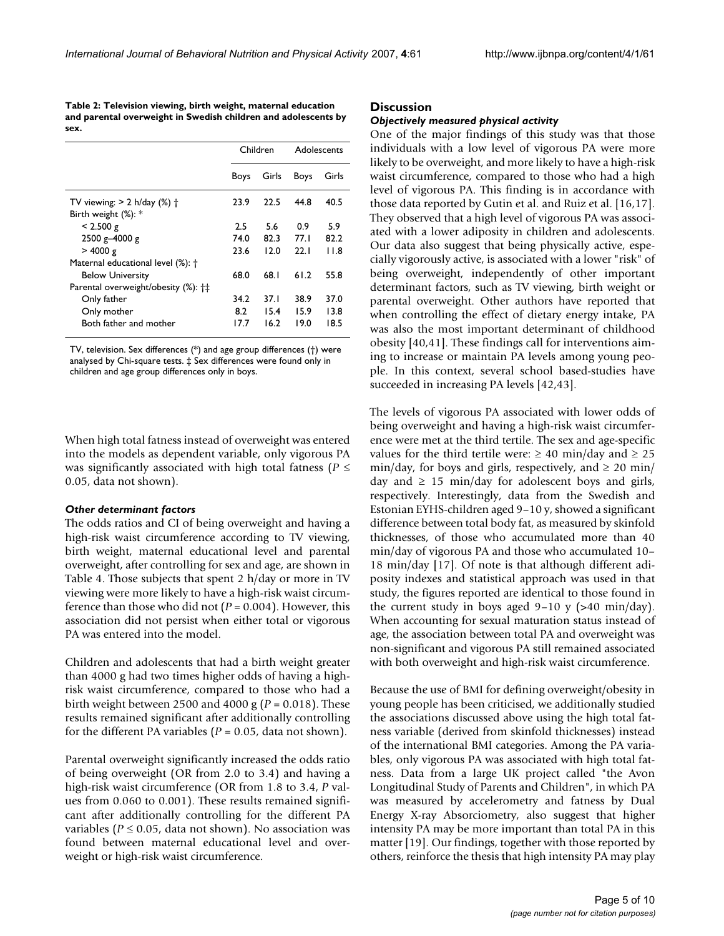**Table 2: Television viewing, birth weight, maternal education and parental overweight in Swedish children and adolescents by sex.**

|                                                              |      | Children |      | Adolescents |  |
|--------------------------------------------------------------|------|----------|------|-------------|--|
|                                                              | Boys | Girls    | Boys | Girls       |  |
| TV viewing: $> 2$ h/day (%) $\dagger$<br>Birth weight (%): * | 23.9 | 22.5     | 44.8 | 40.5        |  |
| < 2.500 g                                                    | 2.5  | 5.6      | 0.9  | 5.9         |  |
| $2500 g - 4000 g$                                            | 74.0 | 82.3     | 77.I | 82.2        |  |
| $>$ 4000 g                                                   | 23.6 | 12.0     | 22.1 | I I.8       |  |
| Maternal educational level (%): †                            |      |          |      |             |  |
| <b>Below University</b>                                      | 68.0 | 68. I    | 61.2 | 55.8        |  |
| Parental overweight/obesity (%): †‡                          |      |          |      |             |  |
| Only father                                                  | 34.2 | 37.I     | 38.9 | 37.0        |  |
| Only mother                                                  | 8.2  | 15.4     | 15.9 | 13.8        |  |
| Both father and mother                                       | 17.7 | 16.2     | 19.0 | 18.5        |  |
|                                                              |      |          |      |             |  |

TV, television. Sex differences (\*) and age group differences (†) were analysed by Chi-square tests. ‡ Sex differences were found only in children and age group differences only in boys.

When high total fatness instead of overweight was entered into the models as dependent variable, only vigorous PA was significantly associated with high total fatness (*P* ≤ 0.05, data not shown).

#### *Other determinant factors*

The odds ratios and CI of being overweight and having a high-risk waist circumference according to TV viewing, birth weight, maternal educational level and parental overweight, after controlling for sex and age, are shown in Table 4. Those subjects that spent 2 h/day or more in TV viewing were more likely to have a high-risk waist circumference than those who did not  $(P = 0.004)$ . However, this association did not persist when either total or vigorous PA was entered into the model.

Children and adolescents that had a birth weight greater than 4000 g had two times higher odds of having a highrisk waist circumference, compared to those who had a birth weight between 2500 and 4000 g (*P* = 0.018). These results remained significant after additionally controlling for the different PA variables (*P* = 0.05, data not shown).

Parental overweight significantly increased the odds ratio of being overweight (OR from 2.0 to 3.4) and having a high-risk waist circumference (OR from 1.8 to 3.4, *P* values from 0.060 to 0.001). These results remained significant after additionally controlling for the different PA variables ( $P \le 0.05$ , data not shown). No association was found between maternal educational level and overweight or high-risk waist circumference.

#### **Discussion**

#### *Objectively measured physical activity*

One of the major findings of this study was that those individuals with a low level of vigorous PA were more likely to be overweight, and more likely to have a high-risk waist circumference, compared to those who had a high level of vigorous PA. This finding is in accordance with those data reported by Gutin et al. and Ruiz et al. [16,17]. They observed that a high level of vigorous PA was associated with a lower adiposity in children and adolescents. Our data also suggest that being physically active, especially vigorously active, is associated with a lower "risk" of being overweight, independently of other important determinant factors, such as TV viewing, birth weight or parental overweight. Other authors have reported that when controlling the effect of dietary energy intake, PA was also the most important determinant of childhood obesity [40,41]. These findings call for interventions aiming to increase or maintain PA levels among young people. In this context, several school based-studies have succeeded in increasing PA levels [42,43].

The levels of vigorous PA associated with lower odds of being overweight and having a high-risk waist circumference were met at the third tertile. The sex and age-specific values for the third tertile were:  $\geq 40$  min/day and  $\geq 25$ min/day, for boys and girls, respectively, and  $\geq 20$  min/ day and  $\geq$  15 min/day for adolescent boys and girls, respectively. Interestingly, data from the Swedish and Estonian EYHS-children aged 9–10 y, showed a significant difference between total body fat, as measured by skinfold thicknesses, of those who accumulated more than 40 min/day of vigorous PA and those who accumulated 10– 18 min/day [17]. Of note is that although different adiposity indexes and statistical approach was used in that study, the figures reported are identical to those found in the current study in boys aged  $9-10$  y ( $>40$  min/day). When accounting for sexual maturation status instead of age, the association between total PA and overweight was non-significant and vigorous PA still remained associated with both overweight and high-risk waist circumference.

Because the use of BMI for defining overweight/obesity in young people has been criticised, we additionally studied the associations discussed above using the high total fatness variable (derived from skinfold thicknesses) instead of the international BMI categories. Among the PA variables, only vigorous PA was associated with high total fatness. Data from a large UK project called "the Avon Longitudinal Study of Parents and Children", in which PA was measured by accelerometry and fatness by Dual Energy X-ray Absorciometry, also suggest that higher intensity PA may be more important than total PA in this matter [19]. Our findings, together with those reported by others, reinforce the thesis that high intensity PA may play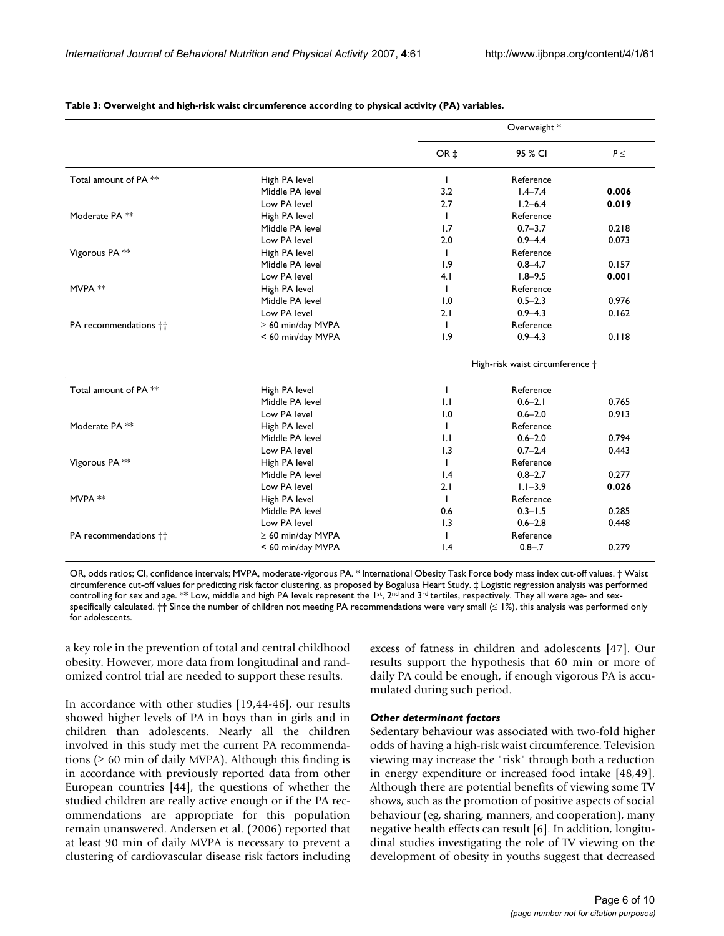|                                  |                        | Overweight *                    |             |          |
|----------------------------------|------------------------|---------------------------------|-------------|----------|
|                                  |                        | OR ‡                            | 95 % CI     | $P \leq$ |
| Total amount of PA <sup>**</sup> | High PA level          | T                               | Reference   |          |
|                                  | Middle PA level        | 3.2                             | $1.4 - 7.4$ | 0.006    |
|                                  | Low PA level           | 2.7                             | $1.2 - 6.4$ | 0.019    |
| Moderate PA <sup>**</sup>        | High PA level          | I.                              | Reference   |          |
|                                  | Middle PA level        | 1.7                             | $0.7 - 3.7$ | 0.218    |
|                                  | Low PA level           | 2.0                             | $0.9 - 4.4$ | 0.073    |
| Vigorous PA <sup>**</sup>        | High PA level          | $\mathbf{I}$                    | Reference   |          |
|                                  | Middle PA level        | 1.9                             | $0.8 - 4.7$ | 0.157    |
|                                  | Low PA level           | 4.1                             | $1.8 - 9.5$ | 0.001    |
| MVPA <sup>**</sup>               | High PA level          | $\mathbf{I}$                    | Reference   |          |
|                                  | Middle PA level        | 1.0                             | $0.5 - 2.3$ | 0.976    |
|                                  | Low PA level           | 2.1                             | $0.9 - 4.3$ | 0.162    |
| PA recommendations <sup>++</sup> | $\geq 60$ min/day MVPA |                                 | Reference   |          |
|                                  | < 60 min/day MVPA      | 1.9                             | $0.9 - 4.3$ | 0.118    |
|                                  |                        | High-risk waist circumference + |             |          |
| Total amount of PA <sup>**</sup> | High PA level          | I.                              | Reference   |          |
|                                  | Middle PA level        | $\mathbf{L}$                    | $0.6 - 2.1$ | 0.765    |
|                                  | Low PA level           | 1.0                             | $0.6 - 2.0$ | 0.913    |
| Moderate PA <sup>**</sup>        | High PA level          | T                               | Reference   |          |
|                                  | Middle PA level        | $\mathbf{L}$                    | $0.6 - 2.0$ | 0.794    |
|                                  | Low PA level           | 1.3                             | $0.7 - 2.4$ | 0.443    |
| Vigorous PA <sup>**</sup>        | High PA level          | $\mathbf{I}$                    | Reference   |          |
|                                  | Middle PA level        | 1.4                             | $0.8 - 2.7$ | 0.277    |
|                                  | Low PA level           | 2.1                             | $1.1 - 3.9$ | 0.026    |
| MVPA $**$                        | High PA level          | $\mathbf{I}$                    | Reference   |          |
|                                  | Middle PA level        | 0.6                             | $0.3 - 1.5$ | 0.285    |
|                                  | Low PA level           | 1.3                             | $0.6 - 2.8$ | 0.448    |
| PA recommendations <sup>++</sup> | $\geq$ 60 min/day MVPA |                                 | Reference   |          |
|                                  | < 60 min/day MVPA      | 1.4                             | $0.8 - .7$  | 0.279    |

#### **Table 3: Overweight and high-risk waist circumference according to physical activity (PA) variables.**

OR, odds ratios; CI, confidence intervals; MVPA, moderate-vigorous PA. \* International Obesity Task Force body mass index cut-off values. † Waist circumference cut-off values for predicting risk factor clustering, as proposed by Bogalusa Heart Study. ‡ Logistic regression analysis was performed controlling for sex and age. \*\* Low, middle and high PA levels represent the 1st,  $2^{nd}$  and  $3^{rd}$  tertiles, respectively. They all were age- and sexspecifically calculated. †† Since the number of children not meeting PA recommendations were very small (≤ 1%), this analysis was performed only for adolescents.

a key role in the prevention of total and central childhood obesity. However, more data from longitudinal and randomized control trial are needed to support these results.

In accordance with other studies [19,44-46], our results showed higher levels of PA in boys than in girls and in children than adolescents. Nearly all the children involved in this study met the current PA recommendations ( $\geq 60$  min of daily MVPA). Although this finding is in accordance with previously reported data from other European countries [44], the questions of whether the studied children are really active enough or if the PA recommendations are appropriate for this population remain unanswered. Andersen et al. (2006) reported that at least 90 min of daily MVPA is necessary to prevent a clustering of cardiovascular disease risk factors including excess of fatness in children and adolescents [47]. Our results support the hypothesis that 60 min or more of daily PA could be enough, if enough vigorous PA is accumulated during such period.

### *Other determinant factors*

Sedentary behaviour was associated with two-fold higher odds of having a high-risk waist circumference. Television viewing may increase the "risk" through both a reduction in energy expenditure or increased food intake [48,49]. Although there are potential benefits of viewing some TV shows, such as the promotion of positive aspects of social behaviour (eg, sharing, manners, and cooperation), many negative health effects can result [6]. In addition, longitudinal studies investigating the role of TV viewing on the development of obesity in youths suggest that decreased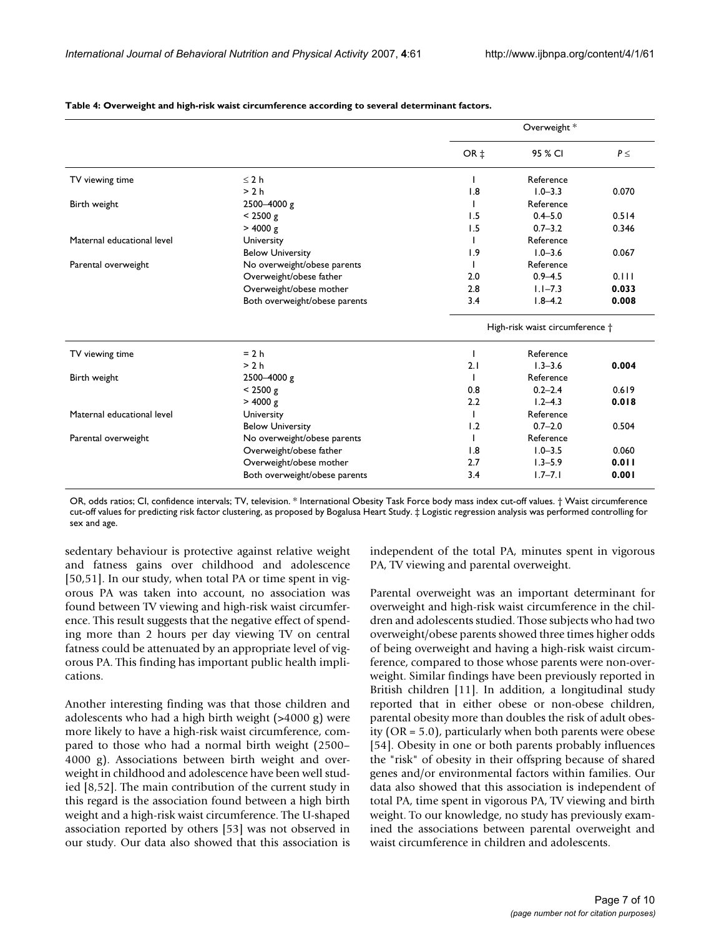|                            |                               | Overweight * |                                 |          |
|----------------------------|-------------------------------|--------------|---------------------------------|----------|
|                            |                               | OR ‡         | 95 % CI                         | $P \leq$ |
| TV viewing time            | $\leq 2 h$                    |              | Reference                       |          |
|                            | > 2 h                         | 1.8          | $1.0 - 3.3$                     | 0.070    |
| Birth weight               | 2500-4000 g                   |              | Reference                       |          |
|                            | < 2500 g                      | 1.5          | $0.4 - 5.0$                     | 0.514    |
|                            | > 4000 g                      | 1.5          | $0.7 - 3.2$                     | 0.346    |
| Maternal educational level | University                    |              | Reference                       |          |
|                            | <b>Below University</b>       | 1.9          | $1.0 - 3.6$                     | 0.067    |
| Parental overweight        | No overweight/obese parents   |              | Reference                       |          |
|                            | Overweight/obese father       | 2.0          | $0.9 - 4.5$                     | 0.111    |
|                            | Overweight/obese mother       | 2.8          | $1.1 - 7.3$                     | 0.033    |
|                            | Both overweight/obese parents | 3.4          | $1.8 - 4.2$                     | 0.008    |
|                            |                               |              | High-risk waist circumference + |          |
| TV viewing time            | $= 2 h$                       |              | Reference                       |          |
|                            | > 2 h                         | 2.1          | $1.3 - 3.6$                     | 0.004    |
| Birth weight               | 2500-4000 g                   |              | Reference                       |          |
|                            | < 2500 g                      | 0.8          | $0.2 - 2.4$                     | 0.619    |
|                            | > 4000 g                      | 2.2          | $1.2 - 4.3$                     | 0.018    |
| Maternal educational level | University                    | T            | Reference                       |          |
|                            | <b>Below University</b>       | 1.2          | $0.7 - 2.0$                     | 0.504    |
| Parental overweight        | No overweight/obese parents   |              | Reference                       |          |
|                            | Overweight/obese father       | 1.8          | $1.0 - 3.5$                     | 0.060    |
|                            | Overweight/obese mother       | 2.7          | $1.3 - 5.9$                     | 0.011    |
|                            | Both overweight/obese parents | 3.4          | $1.7 - 7.1$                     | 0.001    |

**Table 4: Overweight and high-risk waist circumference according to several determinant factors.**

OR, odds ratios; CI, confidence intervals; TV, television. \* International Obesity Task Force body mass index cut-off values. † Waist circumference cut-off values for predicting risk factor clustering, as proposed by Bogalusa Heart Study. ‡ Logistic regression analysis was performed controlling for sex and age.

sedentary behaviour is protective against relative weight and fatness gains over childhood and adolescence [50,51]. In our study, when total PA or time spent in vigorous PA was taken into account, no association was found between TV viewing and high-risk waist circumference. This result suggests that the negative effect of spending more than 2 hours per day viewing TV on central fatness could be attenuated by an appropriate level of vigorous PA. This finding has important public health implications.

Another interesting finding was that those children and adolescents who had a high birth weight (>4000 g) were more likely to have a high-risk waist circumference, compared to those who had a normal birth weight (2500– 4000 g). Associations between birth weight and overweight in childhood and adolescence have been well studied [8,52]. The main contribution of the current study in this regard is the association found between a high birth weight and a high-risk waist circumference. The U-shaped association reported by others [53] was not observed in our study. Our data also showed that this association is independent of the total PA, minutes spent in vigorous PA, TV viewing and parental overweight.

Parental overweight was an important determinant for overweight and high-risk waist circumference in the children and adolescents studied. Those subjects who had two overweight/obese parents showed three times higher odds of being overweight and having a high-risk waist circumference, compared to those whose parents were non-overweight. Similar findings have been previously reported in British children [11]. In addition, a longitudinal study reported that in either obese or non-obese children, parental obesity more than doubles the risk of adult obesity (OR = 5.0), particularly when both parents were obese [54]. Obesity in one or both parents probably influences the "risk" of obesity in their offspring because of shared genes and/or environmental factors within families. Our data also showed that this association is independent of total PA, time spent in vigorous PA, TV viewing and birth weight. To our knowledge, no study has previously examined the associations between parental overweight and waist circumference in children and adolescents.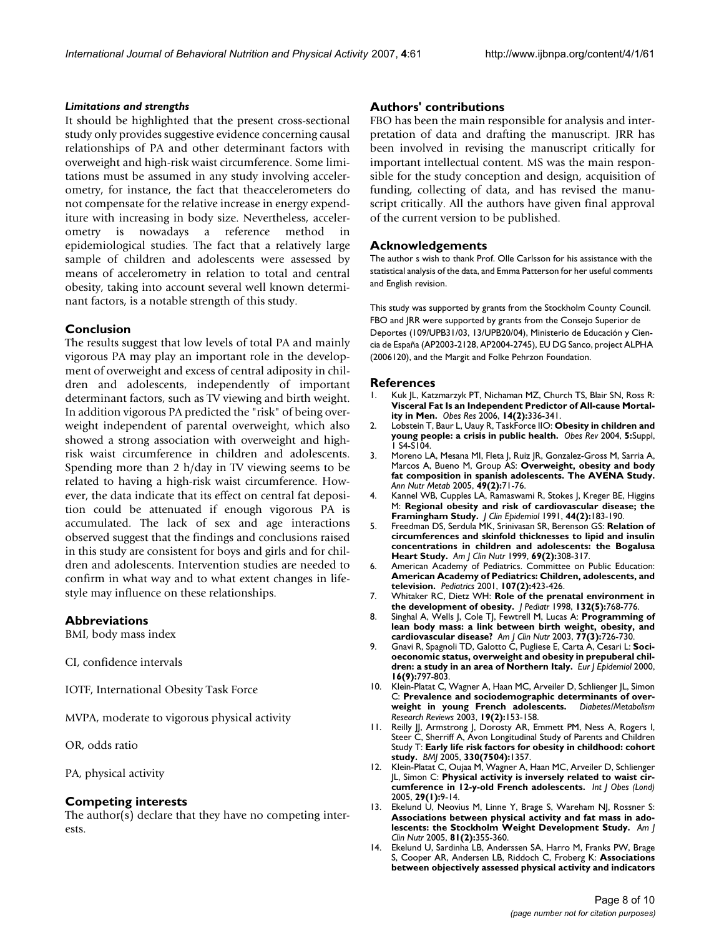### *Limitations and strengths*

It should be highlighted that the present cross-sectional study only provides suggestive evidence concerning causal relationships of PA and other determinant factors with overweight and high-risk waist circumference. Some limitations must be assumed in any study involving accelerometry, for instance, the fact that theaccelerometers do not compensate for the relative increase in energy expenditure with increasing in body size. Nevertheless, accelerometry is nowadays a reference method in epidemiological studies. The fact that a relatively large sample of children and adolescents were assessed by means of accelerometry in relation to total and central obesity, taking into account several well known determinant factors, is a notable strength of this study.

# **Conclusion**

The results suggest that low levels of total PA and mainly vigorous PA may play an important role in the development of overweight and excess of central adiposity in children and adolescents, independently of important determinant factors, such as TV viewing and birth weight. In addition vigorous PA predicted the "risk" of being overweight independent of parental overweight, which also showed a strong association with overweight and highrisk waist circumference in children and adolescents. Spending more than 2 h/day in TV viewing seems to be related to having a high-risk waist circumference. However, the data indicate that its effect on central fat deposition could be attenuated if enough vigorous PA is accumulated. The lack of sex and age interactions observed suggest that the findings and conclusions raised in this study are consistent for boys and girls and for children and adolescents. Intervention studies are needed to confirm in what way and to what extent changes in lifestyle may influence on these relationships.

# **Abbreviations**

BMI, body mass index

CI, confidence intervals

IOTF, International Obesity Task Force

MVPA, moderate to vigorous physical activity

OR, odds ratio

PA, physical activity

### **Competing interests**

The author(s) declare that they have no competing interests.

# **Authors' contributions**

FBO has been the main responsible for analysis and interpretation of data and drafting the manuscript. JRR has been involved in revising the manuscript critically for important intellectual content. MS was the main responsible for the study conception and design, acquisition of funding, collecting of data, and has revised the manuscript critically. All the authors have given final approval of the current version to be published.

### **Acknowledgements**

The author s wish to thank Prof. Olle Carlsson for his assistance with the statistical analysis of the data, and Emma Patterson for her useful comments and English revision.

This study was supported by grants from the Stockholm County Council. FBO and JRR were supported by grants from the Consejo Superior de Deportes (109/UPB31/03, 13/UPB20/04), Ministerio de Educación y Ciencia de España (AP2003-2128, AP2004-2745), EU DG Sanco, project ALPHA (2006120), and the Margit and Folke Pehrzon Foundation.

### **References**

- 1. Kuk JL, Katzmarzyk PT, Nichaman MZ, Church TS, Blair SN, Ross R: **[Visceral Fat Is an Independent Predictor of All-cause Mortal](http://www.ncbi.nlm.nih.gov/entrez/query.fcgi?cmd=Retrieve&db=PubMed&dopt=Abstract&list_uids=16571861)[ity in Men.](http://www.ncbi.nlm.nih.gov/entrez/query.fcgi?cmd=Retrieve&db=PubMed&dopt=Abstract&list_uids=16571861)** *Obes Res* 2006, **14(2):**336-341.
- 2. Lobstein T, Baur L, Uauy R, TaskForce IIO: **Obesity in children and young people: a crisis in public health.** *Obes Rev* 2004, **5:**Suppl, 1 S4-S104.
- 3. Moreno LA, Mesana MI, Fleta J, Ruiz JR, Gonzalez-Gross M, Sarria A, Marcos A, Bueno M, Group AS: **[Overweight, obesity and body](http://www.ncbi.nlm.nih.gov/entrez/query.fcgi?cmd=Retrieve&db=PubMed&dopt=Abstract&list_uids=15802900) [fat composition in spanish adolescents. The AVENA Study.](http://www.ncbi.nlm.nih.gov/entrez/query.fcgi?cmd=Retrieve&db=PubMed&dopt=Abstract&list_uids=15802900)** *Ann Nutr Metab* 2005, **49(2):**71-76.
- 4. Kannel WB, Cupples LA, Ramaswami R, Stokes J, Kreger BE, Higgins M: **[Regional obesity and risk of cardiovascular disease; the](http://www.ncbi.nlm.nih.gov/entrez/query.fcgi?cmd=Retrieve&db=PubMed&dopt=Abstract&list_uids=1995775) [Framingham Study.](http://www.ncbi.nlm.nih.gov/entrez/query.fcgi?cmd=Retrieve&db=PubMed&dopt=Abstract&list_uids=1995775)** *J Clin Epidemiol* 1991, **44(2):**183-190.
- 5. Freedman DS, Serdula MK, Srinivasan SR, Berenson GS: **[Relation of](http://www.ncbi.nlm.nih.gov/entrez/query.fcgi?cmd=Retrieve&db=PubMed&dopt=Abstract&list_uids=9989697) [circumferences and skinfold thicknesses to lipid and insulin](http://www.ncbi.nlm.nih.gov/entrez/query.fcgi?cmd=Retrieve&db=PubMed&dopt=Abstract&list_uids=9989697) concentrations in children and adolescents: the Bogalusa [Heart Study.](http://www.ncbi.nlm.nih.gov/entrez/query.fcgi?cmd=Retrieve&db=PubMed&dopt=Abstract&list_uids=9989697)** *Am J Clin Nutr* 1999, **69(2):**308-317.
- 6. American Academy of Pediatrics. Committee on Public Education: **[American Academy of Pediatrics: Children, adolescents, and](http://www.ncbi.nlm.nih.gov/entrez/query.fcgi?cmd=Retrieve&db=PubMed&dopt=Abstract&list_uids=11158483) [television.](http://www.ncbi.nlm.nih.gov/entrez/query.fcgi?cmd=Retrieve&db=PubMed&dopt=Abstract&list_uids=11158483)** *Pediatrics* 2001, **107(2):**423-426.
- 7. Whitaker RC, Dietz WH: **[Role of the prenatal environment in](http://www.ncbi.nlm.nih.gov/entrez/query.fcgi?cmd=Retrieve&db=PubMed&dopt=Abstract&list_uids=9602184) [the development of obesity.](http://www.ncbi.nlm.nih.gov/entrez/query.fcgi?cmd=Retrieve&db=PubMed&dopt=Abstract&list_uids=9602184)** *J Pediatr* 1998, **132(5):**768-776.
- 8. Singhal A, Wells J, Cole TJ, Fewtrell M, Lucas A: **[Programming of](http://www.ncbi.nlm.nih.gov/entrez/query.fcgi?cmd=Retrieve&db=PubMed&dopt=Abstract&list_uids=12600868) [lean body mass: a link between birth weight, obesity, and](http://www.ncbi.nlm.nih.gov/entrez/query.fcgi?cmd=Retrieve&db=PubMed&dopt=Abstract&list_uids=12600868) [cardiovascular disease?](http://www.ncbi.nlm.nih.gov/entrez/query.fcgi?cmd=Retrieve&db=PubMed&dopt=Abstract&list_uids=12600868)** *Am J Clin Nutr* 2003, **77(3):**726-730.
- 9. Gnavi R, Spagnoli TD, Galotto C, Pugliese E, Carta A, Cesari L: **[Soci](http://www.ncbi.nlm.nih.gov/entrez/query.fcgi?cmd=Retrieve&db=PubMed&dopt=Abstract&list_uids=11297221)[oeconomic status, overweight and obesity in prepuberal chil](http://www.ncbi.nlm.nih.gov/entrez/query.fcgi?cmd=Retrieve&db=PubMed&dopt=Abstract&list_uids=11297221)[dren: a study in an area of Northern Italy.](http://www.ncbi.nlm.nih.gov/entrez/query.fcgi?cmd=Retrieve&db=PubMed&dopt=Abstract&list_uids=11297221)** *Eur J Epidemiol* 2000, **16(9):**797-803.
- 10. Klein-Platat C, Wagner A, Haan MC, Arveiler D, Schlienger JL, Simon C: **Prevalence and sociodemographic determinants of overweight in young French adolescents.** *Diabetes/Metabolism Research Reviews* 2003, **19(2):**153-158.
- 11. Reilly JJ, Armstrong J, Dorosty AR, Emmett PM, Ness A, Rogers I, Steer C, Sherriff A, Avon Longitudinal Study of Parents and Children Study T: **[Early life risk factors for obesity in childhood: cohort](http://www.ncbi.nlm.nih.gov/entrez/query.fcgi?cmd=Retrieve&db=PubMed&dopt=Abstract&list_uids=15908441) [study.](http://www.ncbi.nlm.nih.gov/entrez/query.fcgi?cmd=Retrieve&db=PubMed&dopt=Abstract&list_uids=15908441)** *BMJ* 2005, **330(7504):**1357.
- 12. Klein-Platat C, Oujaa M, Wagner A, Haan MC, Arveiler D, Schlienger JL, Simon C: **[Physical activity is inversely related to waist cir](http://www.ncbi.nlm.nih.gov/entrez/query.fcgi?cmd=Retrieve&db=PubMed&dopt=Abstract&list_uids=15278108)[cumference in 12-y-old French adolescents.](http://www.ncbi.nlm.nih.gov/entrez/query.fcgi?cmd=Retrieve&db=PubMed&dopt=Abstract&list_uids=15278108)** *Int J Obes (Lond)* 2005, **29(1):**9-14.
- 13. Ekelund U, Neovius M, Linne Y, Brage S, Wareham NJ, Rossner S: **[Associations between physical activity and fat mass in ado](http://www.ncbi.nlm.nih.gov/entrez/query.fcgi?cmd=Retrieve&db=PubMed&dopt=Abstract&list_uids=15699221)[lescents: the Stockholm Weight Development Study.](http://www.ncbi.nlm.nih.gov/entrez/query.fcgi?cmd=Retrieve&db=PubMed&dopt=Abstract&list_uids=15699221)** *Am J Clin Nutr* 2005, **81(2):**355-360.
- 14. Ekelund U, Sardinha LB, Anderssen SA, Harro M, Franks PW, Brage S, Cooper AR, Andersen LB, Riddoch C, Froberg K: **[Associations](http://www.ncbi.nlm.nih.gov/entrez/query.fcgi?cmd=Retrieve&db=PubMed&dopt=Abstract&list_uids=15321796) [between objectively assessed physical activity and indicators](http://www.ncbi.nlm.nih.gov/entrez/query.fcgi?cmd=Retrieve&db=PubMed&dopt=Abstract&list_uids=15321796)**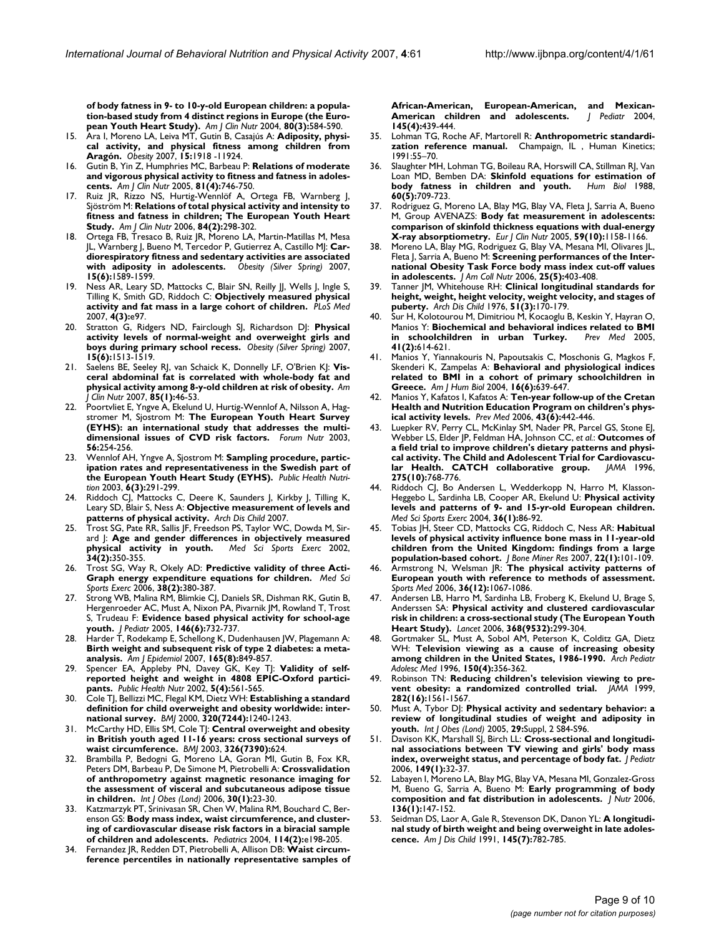**[of body fatness in 9- to 10-y-old European children: a popula](http://www.ncbi.nlm.nih.gov/entrez/query.fcgi?cmd=Retrieve&db=PubMed&dopt=Abstract&list_uids=15321796)tion-based study from 4 distinct regions in Europe (the Euro[pean Youth Heart Study\).](http://www.ncbi.nlm.nih.gov/entrez/query.fcgi?cmd=Retrieve&db=PubMed&dopt=Abstract&list_uids=15321796)** *Am J Clin Nutr* 2004, **80(3):**584-590.

- 15. Ara I, Moreno LA, Leiva MT, Gutin B, Casajús A: **[Adiposity, physi](http://www.ncbi.nlm.nih.gov/entrez/query.fcgi?cmd=Retrieve&db=PubMed&dopt=Abstract&list_uids=17712107)[cal activity, and physical fitness among children from](http://www.ncbi.nlm.nih.gov/entrez/query.fcgi?cmd=Retrieve&db=PubMed&dopt=Abstract&list_uids=17712107) [Aragón.](http://www.ncbi.nlm.nih.gov/entrez/query.fcgi?cmd=Retrieve&db=PubMed&dopt=Abstract&list_uids=17712107)** *Obesity* 2007, **15:**1918 -11924.
- 16. Gutin B, Yin Z, Humphries MC, Barbeau P: **[Relations of moderate](http://www.ncbi.nlm.nih.gov/entrez/query.fcgi?cmd=Retrieve&db=PubMed&dopt=Abstract&list_uids=15817847) [and vigorous physical activity to fitness and fatness in adoles](http://www.ncbi.nlm.nih.gov/entrez/query.fcgi?cmd=Retrieve&db=PubMed&dopt=Abstract&list_uids=15817847)[cents.](http://www.ncbi.nlm.nih.gov/entrez/query.fcgi?cmd=Retrieve&db=PubMed&dopt=Abstract&list_uids=15817847)** *Am J Clin Nutr* 2005, **81(4):**746-750.
- 17. Ruiz JR, Rizzo NS, Hurtig-Wennlöf A, Ortega FB, Warnberg J, Sjöström M: **Relations of total physical activity and intensity to fitness and fatness in children; The European Youth Heart Study.** *Am J Clin Nutr* 2006, **84(2):**298-302.
- 18. Ortega FB, Tresaco B, Ruiz JR, Moreno LA, Martin-Matillas M, Mesa JL, Warnberg J, Bueno M, Tercedor P, Gutierrez A, Castillo MJ: **[Car](http://www.ncbi.nlm.nih.gov/entrez/query.fcgi?cmd=Retrieve&db=PubMed&dopt=Abstract&list_uids=17557997)[diorespiratory fitness and sedentary activities are associated](http://www.ncbi.nlm.nih.gov/entrez/query.fcgi?cmd=Retrieve&db=PubMed&dopt=Abstract&list_uids=17557997) [with adiposity in adolescents.](http://www.ncbi.nlm.nih.gov/entrez/query.fcgi?cmd=Retrieve&db=PubMed&dopt=Abstract&list_uids=17557997)** *Obesity (Silver Spring)* 2007, **15(6):**1589-1599.
- 19. Ness AR, Leary SD, Mattocks C, Blair SN, Reilly JJ, Wells J, Ingle S, Tilling K, Smith GD, Riddoch C: **[Objectively measured physical](http://www.ncbi.nlm.nih.gov/entrez/query.fcgi?cmd=Retrieve&db=PubMed&dopt=Abstract&list_uids=17388663) [activity and fat mass in a large cohort of children.](http://www.ncbi.nlm.nih.gov/entrez/query.fcgi?cmd=Retrieve&db=PubMed&dopt=Abstract&list_uids=17388663)** *PLoS Med* 2007, **4(3):**e97.
- 20. Stratton G, Ridgers ND, Fairclough SJ, Richardson DJ: **[Physical](http://www.ncbi.nlm.nih.gov/entrez/query.fcgi?cmd=Retrieve&db=PubMed&dopt=Abstract&list_uids=17557988) [activity levels of normal-weight and overweight girls and](http://www.ncbi.nlm.nih.gov/entrez/query.fcgi?cmd=Retrieve&db=PubMed&dopt=Abstract&list_uids=17557988) [boys during primary school recess.](http://www.ncbi.nlm.nih.gov/entrez/query.fcgi?cmd=Retrieve&db=PubMed&dopt=Abstract&list_uids=17557988)** *Obesity (Silver Spring)* 2007, **15(6):**1513-1519.
- 21. Saelens BE, Seeley RJ, van Schaick K, Donnelly LF, O'Brien KJ: **[Vis](http://www.ncbi.nlm.nih.gov/entrez/query.fcgi?cmd=Retrieve&db=PubMed&dopt=Abstract&list_uids=17209176)[ceral abdominal fat is correlated with whole-body fat and](http://www.ncbi.nlm.nih.gov/entrez/query.fcgi?cmd=Retrieve&db=PubMed&dopt=Abstract&list_uids=17209176) [physical activity among 8-y-old children at risk of obesity.](http://www.ncbi.nlm.nih.gov/entrez/query.fcgi?cmd=Retrieve&db=PubMed&dopt=Abstract&list_uids=17209176)** *Am J Clin Nutr* 2007, **85(1):**46-53.
- 22. Poortvliet E, Yngve A, Ekelund U, Hurtig-Wennlof A, Nilsson A, Hagstromer M, Sjostrom M: **[The European Youth Heart Survey](http://www.ncbi.nlm.nih.gov/entrez/query.fcgi?cmd=Retrieve&db=PubMed&dopt=Abstract&list_uids=15806888) [\(EYHS\): an international study that addresses the multi](http://www.ncbi.nlm.nih.gov/entrez/query.fcgi?cmd=Retrieve&db=PubMed&dopt=Abstract&list_uids=15806888)[dimensional issues of CVD risk factors.](http://www.ncbi.nlm.nih.gov/entrez/query.fcgi?cmd=Retrieve&db=PubMed&dopt=Abstract&list_uids=15806888)** *Forum Nutr* 2003, **56:**254-256.
- 23. Wennlof AH, Yngve A, Sjostrom M: **[Sampling procedure, partic](http://www.ncbi.nlm.nih.gov/entrez/query.fcgi?cmd=Retrieve&db=PubMed&dopt=Abstract&list_uids=12740078)[ipation rates and representativeness in the Swedish part of](http://www.ncbi.nlm.nih.gov/entrez/query.fcgi?cmd=Retrieve&db=PubMed&dopt=Abstract&list_uids=12740078) [the European Youth Heart Study \(EYHS\).](http://www.ncbi.nlm.nih.gov/entrez/query.fcgi?cmd=Retrieve&db=PubMed&dopt=Abstract&list_uids=12740078)** *Public Health Nutrition* 2003, **6(3):**291-299.
- 24. Riddoch CJ, Mattocks C, Deere K, Saunders J, Kirkby J, Tilling K, Leary SD, Blair S, Ness A: **[Objective measurement of levels and](http://www.ncbi.nlm.nih.gov/entrez/query.fcgi?cmd=Retrieve&db=PubMed&dopt=Abstract&list_uids=17855437) [patterns of physical activity.](http://www.ncbi.nlm.nih.gov/entrez/query.fcgi?cmd=Retrieve&db=PubMed&dopt=Abstract&list_uids=17855437)** *Arch Dis Child* 2007.
- 25. Trost SG, Pate RR, Sallis JF, Freedson PS, Taylor WC, Dowda M, Sirard J: **[Age and gender differences in objectively measured](http://www.ncbi.nlm.nih.gov/entrez/query.fcgi?cmd=Retrieve&db=PubMed&dopt=Abstract&list_uids=11828247) [physical activity in youth.](http://www.ncbi.nlm.nih.gov/entrez/query.fcgi?cmd=Retrieve&db=PubMed&dopt=Abstract&list_uids=11828247)** *Med Sci Sports Exerc* 2002, **34(2):**350-355.
- 26. Trost SG, Way R, Okely AD: **[Predictive validity of three Acti-](http://www.ncbi.nlm.nih.gov/entrez/query.fcgi?cmd=Retrieve&db=PubMed&dopt=Abstract&list_uids=16531910)[Graph energy expenditure equations for children.](http://www.ncbi.nlm.nih.gov/entrez/query.fcgi?cmd=Retrieve&db=PubMed&dopt=Abstract&list_uids=16531910)** *Med Sci Sports Exerc* 2006, **38(2):**380-387.
- 27. Strong WB, Malina RM, Blimkie CJ, Daniels SR, Dishman RK, Gutin B, Hergenroeder AC, Must A, Nixon PA, Pivarnik JM, Rowland T, Trost S, Trudeau F: **[Evidence based physical activity for school-age](http://www.ncbi.nlm.nih.gov/entrez/query.fcgi?cmd=Retrieve&db=PubMed&dopt=Abstract&list_uids=15973308) [youth.](http://www.ncbi.nlm.nih.gov/entrez/query.fcgi?cmd=Retrieve&db=PubMed&dopt=Abstract&list_uids=15973308)** *J Pediatr* 2005, **146(6):**732-737.
- 28. Harder T, Rodekamp E, Schellong K, Dudenhausen JW, Plagemann A: **[Birth weight and subsequent risk of type 2 diabetes: a meta](http://www.ncbi.nlm.nih.gov/entrez/query.fcgi?cmd=Retrieve&db=PubMed&dopt=Abstract&list_uids=17215379)[analysis.](http://www.ncbi.nlm.nih.gov/entrez/query.fcgi?cmd=Retrieve&db=PubMed&dopt=Abstract&list_uids=17215379)** *Am J Epidemiol* 2007, **165(8):**849-857.
- 29. Spencer EA, Appleby PN, Davey GK, Key TJ: **[Validity of self](http://www.ncbi.nlm.nih.gov/entrez/query.fcgi?cmd=Retrieve&db=PubMed&dopt=Abstract&list_uids=12186665)[reported height and weight in 4808 EPIC-Oxford partici](http://www.ncbi.nlm.nih.gov/entrez/query.fcgi?cmd=Retrieve&db=PubMed&dopt=Abstract&list_uids=12186665)[pants.](http://www.ncbi.nlm.nih.gov/entrez/query.fcgi?cmd=Retrieve&db=PubMed&dopt=Abstract&list_uids=12186665)** *Public Health Nutr* 2002, **5(4):**561-565.
- 30. Cole TJ, Bellizzi MC, Flegal KM, Dietz WH: **[Establishing a standard](http://www.ncbi.nlm.nih.gov/entrez/query.fcgi?cmd=Retrieve&db=PubMed&dopt=Abstract&list_uids=10797032) [definition for child overweight and obesity worldwide: inter](http://www.ncbi.nlm.nih.gov/entrez/query.fcgi?cmd=Retrieve&db=PubMed&dopt=Abstract&list_uids=10797032)[national survey.](http://www.ncbi.nlm.nih.gov/entrez/query.fcgi?cmd=Retrieve&db=PubMed&dopt=Abstract&list_uids=10797032)** *BMJ* 2000, **320(7244):**1240-1243.
- 31. McCarthy HD, Ellis SM, Cole TJ: **[Central overweight and obesity](http://www.ncbi.nlm.nih.gov/entrez/query.fcgi?cmd=Retrieve&db=PubMed&dopt=Abstract&list_uids=12649234) [in British youth aged 11-16 years: cross sectional surveys of](http://www.ncbi.nlm.nih.gov/entrez/query.fcgi?cmd=Retrieve&db=PubMed&dopt=Abstract&list_uids=12649234) [waist circumference.](http://www.ncbi.nlm.nih.gov/entrez/query.fcgi?cmd=Retrieve&db=PubMed&dopt=Abstract&list_uids=12649234)** *BMJ* 2003, **326(7390):**624.
- 32. Brambilla P, Bedogni G, Moreno LA, Goran MI, Gutin B, Fox KR, Peters DM, Barbeau P, De Simone M, Pietrobelli A: **[Crossvalidation](http://www.ncbi.nlm.nih.gov/entrez/query.fcgi?cmd=Retrieve&db=PubMed&dopt=Abstract&list_uids=16344845) [of anthropometry against magnetic resonance imaging for](http://www.ncbi.nlm.nih.gov/entrez/query.fcgi?cmd=Retrieve&db=PubMed&dopt=Abstract&list_uids=16344845) the assessment of visceral and subcutaneous adipose tissue [in children.](http://www.ncbi.nlm.nih.gov/entrez/query.fcgi?cmd=Retrieve&db=PubMed&dopt=Abstract&list_uids=16344845)** *Int J Obes (Lond)* 2006, **30(1):**23-30.
- 33. Katzmarzyk PT, Srinivasan SR, Chen W, Malina RM, Bouchard C, Berenson GS: **[Body mass index, waist circumference, and cluster](http://www.ncbi.nlm.nih.gov/entrez/query.fcgi?cmd=Retrieve&db=PubMed&dopt=Abstract&list_uids=15286257)[ing of cardiovascular disease risk factors in a biracial sample](http://www.ncbi.nlm.nih.gov/entrez/query.fcgi?cmd=Retrieve&db=PubMed&dopt=Abstract&list_uids=15286257) [of children and adolescents.](http://www.ncbi.nlm.nih.gov/entrez/query.fcgi?cmd=Retrieve&db=PubMed&dopt=Abstract&list_uids=15286257)** *Pediatrics* 2004, **114(2):**e198-205.
- 34. Fernandez JR, Redden DT, Pietrobelli A, Allison DB: **[Waist circum](http://www.ncbi.nlm.nih.gov/entrez/query.fcgi?cmd=Retrieve&db=PubMed&dopt=Abstract&list_uids=15480363)[ference percentiles in nationally representative samples of](http://www.ncbi.nlm.nih.gov/entrez/query.fcgi?cmd=Retrieve&db=PubMed&dopt=Abstract&list_uids=15480363)**

**[African-American, European-American, and Mexican-](http://www.ncbi.nlm.nih.gov/entrez/query.fcgi?cmd=Retrieve&db=PubMed&dopt=Abstract&list_uids=15480363)**[American children and adolescents.](http://www.ncbi.nlm.nih.gov/entrez/query.fcgi?cmd=Retrieve&db=PubMed&dopt=Abstract&list_uids=15480363) **145(4):**439-444.

- 35. Lohman TG, Roche AF, Martorell R: **Anthropometric standardization reference manual.** Champaign, IL , Human Kinetics; 1991:55–70.
- 36. Slaughter MH, Lohman TG, Boileau RA, Horswill CA, Stillman RJ, Van Loan MD, Bemben DA: **[Skinfold equations for estimation of](http://www.ncbi.nlm.nih.gov/entrez/query.fcgi?cmd=Retrieve&db=PubMed&dopt=Abstract&list_uids=3224965)** [body fatness in children and youth.](http://www.ncbi.nlm.nih.gov/entrez/query.fcgi?cmd=Retrieve&db=PubMed&dopt=Abstract&list_uids=3224965) **60(5):**709-723.
- 37. Rodriguez G, Moreno LA, Blay MG, Blay VA, Fleta J, Sarria A, Bueno M, Group AVENAZS: **[Body fat measurement in adolescents:](http://www.ncbi.nlm.nih.gov/entrez/query.fcgi?cmd=Retrieve&db=PubMed&dopt=Abstract&list_uids=16047030) [comparison of skinfold thickness equations with dual-energy](http://www.ncbi.nlm.nih.gov/entrez/query.fcgi?cmd=Retrieve&db=PubMed&dopt=Abstract&list_uids=16047030) [X-ray absorptiometry.](http://www.ncbi.nlm.nih.gov/entrez/query.fcgi?cmd=Retrieve&db=PubMed&dopt=Abstract&list_uids=16047030)** *Eur J Clin Nutr* 2005, **59(10):**1158-1166.
- 38. Moreno LA, Blay MG, Rodriguez G, Blay VA, Mesana MI, Olivares JL, Fleta J, Sarria A, Bueno M: **[Screening performances of the Inter](http://www.ncbi.nlm.nih.gov/entrez/query.fcgi?cmd=Retrieve&db=PubMed&dopt=Abstract&list_uids=17031009)[national Obesity Task Force body mass index cut-off values](http://www.ncbi.nlm.nih.gov/entrez/query.fcgi?cmd=Retrieve&db=PubMed&dopt=Abstract&list_uids=17031009) [in adolescents.](http://www.ncbi.nlm.nih.gov/entrez/query.fcgi?cmd=Retrieve&db=PubMed&dopt=Abstract&list_uids=17031009)** *J Am Coll Nutr* 2006, **25(5):**403-408.
- 39. Tanner JM, Whitehouse RH: **[Clinical longitudinal standards for](http://www.ncbi.nlm.nih.gov/entrez/query.fcgi?cmd=Retrieve&db=PubMed&dopt=Abstract&list_uids=952550) [height, weight, height velocity, weight velocity, and stages of](http://www.ncbi.nlm.nih.gov/entrez/query.fcgi?cmd=Retrieve&db=PubMed&dopt=Abstract&list_uids=952550) [puberty.](http://www.ncbi.nlm.nih.gov/entrez/query.fcgi?cmd=Retrieve&db=PubMed&dopt=Abstract&list_uids=952550)** *Arch Dis Child* 1976, **51(3):**170-179.
- Sur H, Kolotourou M, Dimitriou M, Kocaoglu B, Keskin Y, Hayran O, Manios Y: **[Biochemical and behavioral indices related to BMI](http://www.ncbi.nlm.nih.gov/entrez/query.fcgi?cmd=Retrieve&db=PubMed&dopt=Abstract&list_uids=15917060) [in schoolchildren in urban Turkey.](http://www.ncbi.nlm.nih.gov/entrez/query.fcgi?cmd=Retrieve&db=PubMed&dopt=Abstract&list_uids=15917060)** *Prev Med* 2005, **41(2):**614-621.
- 41. Manios Y, Yiannakouris N, Papoutsakis C, Moschonis G, Magkos F, Skenderi K, Zampelas A: **[Behavioral and physiological indices](http://www.ncbi.nlm.nih.gov/entrez/query.fcgi?cmd=Retrieve&db=PubMed&dopt=Abstract&list_uids=15495234) [related to BMI in a cohort of primary schoolchildren in](http://www.ncbi.nlm.nih.gov/entrez/query.fcgi?cmd=Retrieve&db=PubMed&dopt=Abstract&list_uids=15495234) [Greece.](http://www.ncbi.nlm.nih.gov/entrez/query.fcgi?cmd=Retrieve&db=PubMed&dopt=Abstract&list_uids=15495234)** *Am J Hum Biol* 2004, **16(6):**639-647.
- 42. Manios Y, Kafatos I, Kafatos A: **[Ten-year follow-up of the Cretan](http://www.ncbi.nlm.nih.gov/entrez/query.fcgi?cmd=Retrieve&db=PubMed&dopt=Abstract&list_uids=16876239) [Health and Nutrition Education Program on children's phys](http://www.ncbi.nlm.nih.gov/entrez/query.fcgi?cmd=Retrieve&db=PubMed&dopt=Abstract&list_uids=16876239)[ical activity levels.](http://www.ncbi.nlm.nih.gov/entrez/query.fcgi?cmd=Retrieve&db=PubMed&dopt=Abstract&list_uids=16876239)** *Prev Med* 2006, **43(6):**442-446.
- 43. Luepker RV, Perry CL, McKinlay SM, Nader PR, Parcel GS, Stone EJ, Webber LS, Elder JP, Feldman HA, Johnson CC, *et al.*: **[Outcomes of](http://www.ncbi.nlm.nih.gov/entrez/query.fcgi?cmd=Retrieve&db=PubMed&dopt=Abstract&list_uids=8598593) [a field trial to improve children's dietary patterns and physi](http://www.ncbi.nlm.nih.gov/entrez/query.fcgi?cmd=Retrieve&db=PubMed&dopt=Abstract&list_uids=8598593)cal activity. The Child and Adolescent Trial for Cardiovascu[lar Health. CATCH collaborative group.](http://www.ncbi.nlm.nih.gov/entrez/query.fcgi?cmd=Retrieve&db=PubMed&dopt=Abstract&list_uids=8598593)** *JAMA* 1996, **275(10):**768-776.
- Riddoch CJ, Bo Andersen L, Wedderkopp N, Harro M, Klasson-Heggebo L, Sardinha LB, Cooper AR, Ekelund U: **[Physical activity](http://www.ncbi.nlm.nih.gov/entrez/query.fcgi?cmd=Retrieve&db=PubMed&dopt=Abstract&list_uids=14707773) [levels and patterns of 9- and 15-yr-old European children.](http://www.ncbi.nlm.nih.gov/entrez/query.fcgi?cmd=Retrieve&db=PubMed&dopt=Abstract&list_uids=14707773)** *Med Sci Sports Exerc* 2004, **36(1):**86-92.
- 45. Tobias JH, Steer CD, Mattocks CG, Riddoch C, Ness AR: **[Habitual](http://www.ncbi.nlm.nih.gov/entrez/query.fcgi?cmd=Retrieve&db=PubMed&dopt=Abstract&list_uids=17014381) [levels of physical activity influence bone mass in 11-year-old](http://www.ncbi.nlm.nih.gov/entrez/query.fcgi?cmd=Retrieve&db=PubMed&dopt=Abstract&list_uids=17014381) children from the United Kingdom: findings from a large [population-based cohort.](http://www.ncbi.nlm.nih.gov/entrez/query.fcgi?cmd=Retrieve&db=PubMed&dopt=Abstract&list_uids=17014381)** *J Bone Miner Res* 2007, **22(1):**101-109.
- 46. Armstrong N, Welsman JR: **[The physical activity patterns of](http://www.ncbi.nlm.nih.gov/entrez/query.fcgi?cmd=Retrieve&db=PubMed&dopt=Abstract&list_uids=17123328) [European youth with reference to methods of assessment.](http://www.ncbi.nlm.nih.gov/entrez/query.fcgi?cmd=Retrieve&db=PubMed&dopt=Abstract&list_uids=17123328)** *Sports Med* 2006, **36(12):**1067-1086.
- 47. Andersen LB, Harro M, Sardinha LB, Froberg K, Ekelund U, Brage S, Anderssen SA: **[Physical activity and clustered cardiovascular](http://www.ncbi.nlm.nih.gov/entrez/query.fcgi?cmd=Retrieve&db=PubMed&dopt=Abstract&list_uids=16860699) [risk in children: a cross-sectional study \(The European Youth](http://www.ncbi.nlm.nih.gov/entrez/query.fcgi?cmd=Retrieve&db=PubMed&dopt=Abstract&list_uids=16860699) [Heart Study\).](http://www.ncbi.nlm.nih.gov/entrez/query.fcgi?cmd=Retrieve&db=PubMed&dopt=Abstract&list_uids=16860699)** *Lancet* 2006, **368(9532):**299-304.
- 48. Gortmaker SL, Must A, Sobol AM, Peterson K, Colditz GA, Dietz WH: **[Television viewing as a cause of increasing obesity](http://www.ncbi.nlm.nih.gov/entrez/query.fcgi?cmd=Retrieve&db=PubMed&dopt=Abstract&list_uids=8634729) [among children in the United States, 1986-1990.](http://www.ncbi.nlm.nih.gov/entrez/query.fcgi?cmd=Retrieve&db=PubMed&dopt=Abstract&list_uids=8634729)** *Arch Pediatr Adolesc Med* 1996, **150(4):**356-362.
- 49. Robinson TN: **[Reducing children's television viewing to pre](http://www.ncbi.nlm.nih.gov/entrez/query.fcgi?cmd=Retrieve&db=PubMed&dopt=Abstract&list_uids=10546696)[vent obesity: a randomized controlled trial.](http://www.ncbi.nlm.nih.gov/entrez/query.fcgi?cmd=Retrieve&db=PubMed&dopt=Abstract&list_uids=10546696)** *JAMA* 1999, **282(16):**1561-1567.
- 50. Must A, Tybor DJ: **Physical activity and sedentary behavior: a review of longitudinal studies of weight and adiposity in youth.** *Int J Obes (Lond)* 2005, **29:**Suppl, 2 S84-S96.
- 51. Davison KK, Marshall SJ, Birch LL: **[Cross-sectional and longitudi](http://www.ncbi.nlm.nih.gov/entrez/query.fcgi?cmd=Retrieve&db=PubMed&dopt=Abstract&list_uids=16860123)[nal associations between TV viewing and girls' body mass](http://www.ncbi.nlm.nih.gov/entrez/query.fcgi?cmd=Retrieve&db=PubMed&dopt=Abstract&list_uids=16860123) [index, overweight status, and percentage of body fat.](http://www.ncbi.nlm.nih.gov/entrez/query.fcgi?cmd=Retrieve&db=PubMed&dopt=Abstract&list_uids=16860123)** *J Pediatr* 2006, **149(1):**32-37.
- Labayen I, Moreno LA, Blay MG, Blay VA, Mesana MI, Gonzalez-Gross M, Bueno G, Sarria A, Bueno M: **[Early programming of body](http://www.ncbi.nlm.nih.gov/entrez/query.fcgi?cmd=Retrieve&db=PubMed&dopt=Abstract&list_uids=16365074) [composition and fat distribution in adolescents.](http://www.ncbi.nlm.nih.gov/entrez/query.fcgi?cmd=Retrieve&db=PubMed&dopt=Abstract&list_uids=16365074)** *J Nutr* 2006, **136(1):**147-152.
- 53. Seidman DS, Laor A, Gale R, Stevenson DK, Danon YL: **[A longitudi](http://www.ncbi.nlm.nih.gov/entrez/query.fcgi?cmd=Retrieve&db=PubMed&dopt=Abstract&list_uids=2058611)[nal study of birth weight and being overweight in late adoles](http://www.ncbi.nlm.nih.gov/entrez/query.fcgi?cmd=Retrieve&db=PubMed&dopt=Abstract&list_uids=2058611)[cence.](http://www.ncbi.nlm.nih.gov/entrez/query.fcgi?cmd=Retrieve&db=PubMed&dopt=Abstract&list_uids=2058611)** *Am J Dis Child* 1991, **145(7):**782-785.